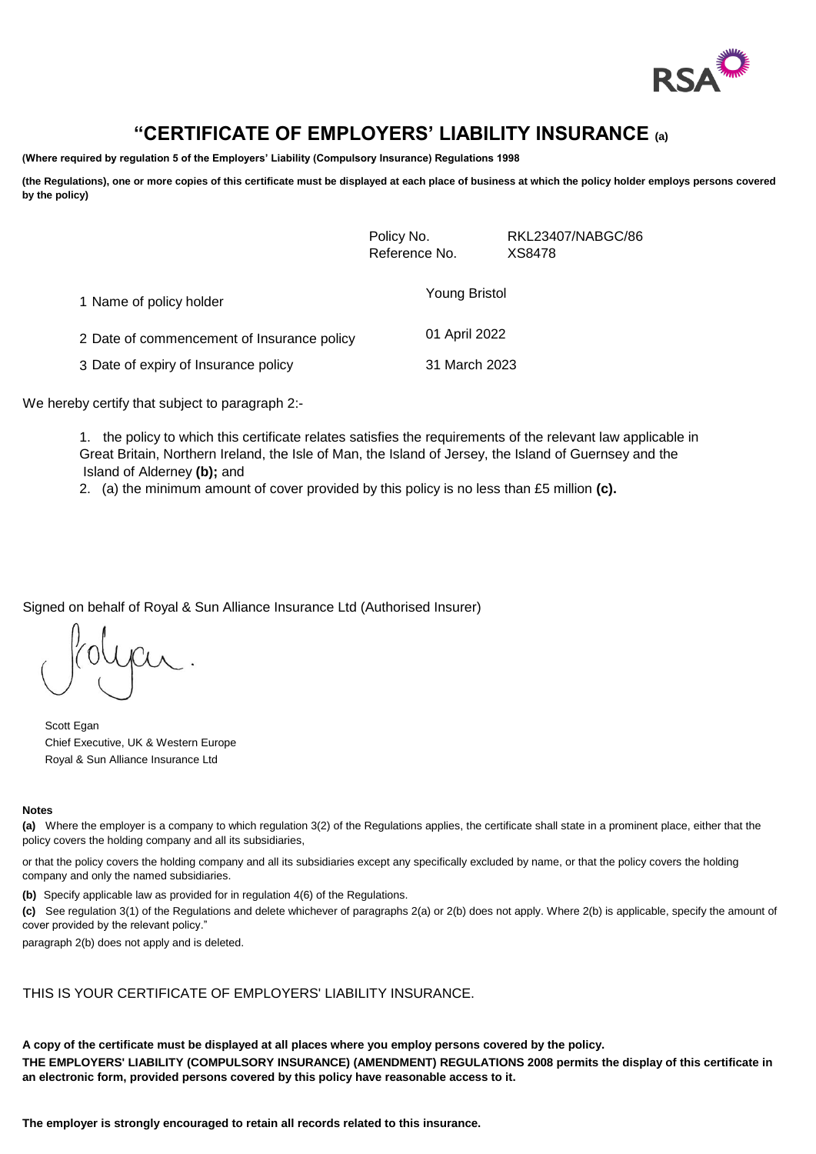

# **"CERTIFICATE OF EMPLOYERS' LIABILITY INSURANCE (a)**

**(Where required by regulation 5 of the Employers' Liability (Compulsory Insurance) Regulations 1998**

**(the Regulations), one or more copies of this certificate must be displayed at each place of business at which the policy holder employs persons covered by the policy)**

|                                            | Policy No.<br>Reference No. | RKL23407/NABGC/86<br>XS8478 |
|--------------------------------------------|-----------------------------|-----------------------------|
| 1 Name of policy holder                    | Young Bristol               |                             |
| 2 Date of commencement of Insurance policy | 01 April 2022               |                             |
| 3 Date of expiry of Insurance policy       | 31 March 2023               |                             |

We hereby certify that subject to paragraph 2:-

1. the policy to which this certificate relates satisfies the requirements of the relevant law applicable in Great Britain, Northern Ireland, the Isle of Man, the Island of Jersey, the Island of Guernsey and the Island of Alderney **(b);** and

2. (a) the minimum amount of cover provided by this policy is no less than £5 million **(c).** 

Signed on behalf of Royal & Sun Alliance Insurance Ltd (Authorised Insurer)

yar.

Scott Egan Chief Executive, UK & Western Europe Royal & Sun Alliance Insurance Ltd

#### **Notes**

**(a)** Where the employer is a company to which regulation 3(2) of the Regulations applies, the certificate shall state in a prominent place, either that the policy covers the holding company and all its subsidiaries,

or that the policy covers the holding company and all its subsidiaries except any specifically excluded by name, or that the policy covers the holding company and only the named subsidiaries.

**(b)** Specify applicable law as provided for in regulation 4(6) of the Regulations.

**(c)** See regulation 3(1) of the Regulations and delete whichever of paragraphs 2(a) or 2(b) does not apply. Where 2(b) is applicable, specify the amount of cover provided by the relevant policy."

paragraph 2(b) does not apply and is deleted.

THIS IS YOUR CERTIFICATE OF EMPLOYERS' LIABILITY INSURANCE.

**A copy of the certificate must be displayed at all places where you employ persons covered by the policy. THE EMPLOYERS' LIABILITY (COMPULSORY INSURANCE) (AMENDMENT) REGULATIONS 2008 permits the display of this certificate in an electronic form, provided persons covered by this policy have reasonable access to it.**

**The employer is strongly encouraged to retain all records related to this insurance.**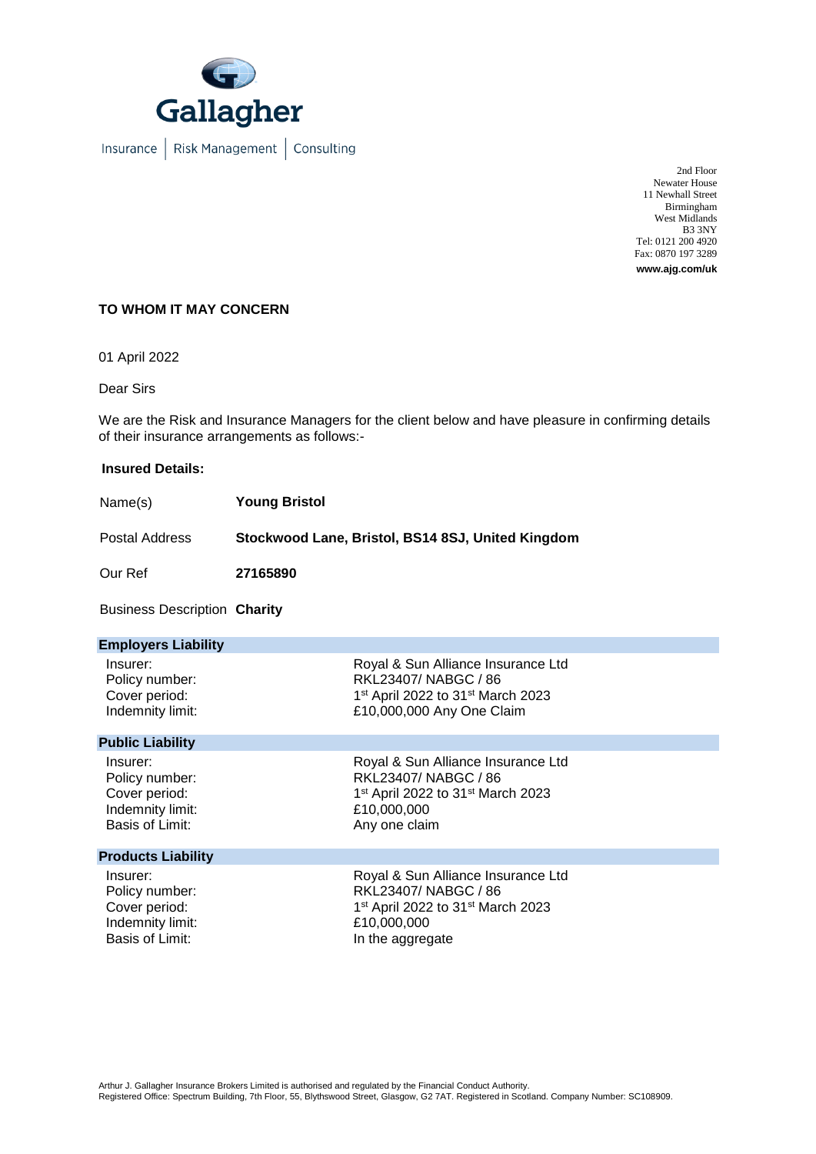

Insurance | Risk Management | Consulting

2nd Floor Newater House 11 Newhall Street Birmingham West Midlands B3 3NY Tel: 0121 200 4920 Fax: 0870 197 3289 **www.ajg.com/uk**

## **TO WHOM IT MAY CONCERN**

01 April 2022

Dear Sirs

We are the Risk and Insurance Managers for the client below and have pleasure in confirming details of their insurance arrangements as follows:-

#### **Insured Details:**

| Name(s)        | <b>Young Bristol</b>                              |
|----------------|---------------------------------------------------|
| Postal Address | Stockwood Lane, Bristol, BS14 8SJ, United Kingdom |

Our Ref **27165890**

Business Description **Charity** 

| <b>Employers Liability</b> |                                                           |
|----------------------------|-----------------------------------------------------------|
| Insurer:                   | Royal & Sun Alliance Insurance Ltd                        |
| Policy number:             | RKL23407/NABGC / 86                                       |
| Cover period:              | 1 <sup>st</sup> April 2022 to 31 <sup>st</sup> March 2023 |
| Indemnity limit:           | £10,000,000 Any One Claim                                 |
| <b>Public Liability</b>    |                                                           |
| Insurer:                   | Royal & Sun Alliance Insurance Ltd                        |
| Policy number:             | RKL23407/NABGC / 86                                       |
| Cover period:              | 1st April 2022 to 31st March 2023                         |
| Indemnity limit:           | £10,000,000                                               |
| Basis of Limit:            | Any one claim                                             |
| <b>Products Liability</b>  |                                                           |
| Insurer:                   | Royal & Sun Alliance Insurance Ltd                        |
| Policy number:             | RKL23407/NABGC / 86                                       |
| Cover period:              | 1 <sup>st</sup> April 2022 to 31 <sup>st</sup> March 2023 |
| Indemnity limit:           | £10,000,000                                               |
| Basis of Limit:            | In the aggregate                                          |